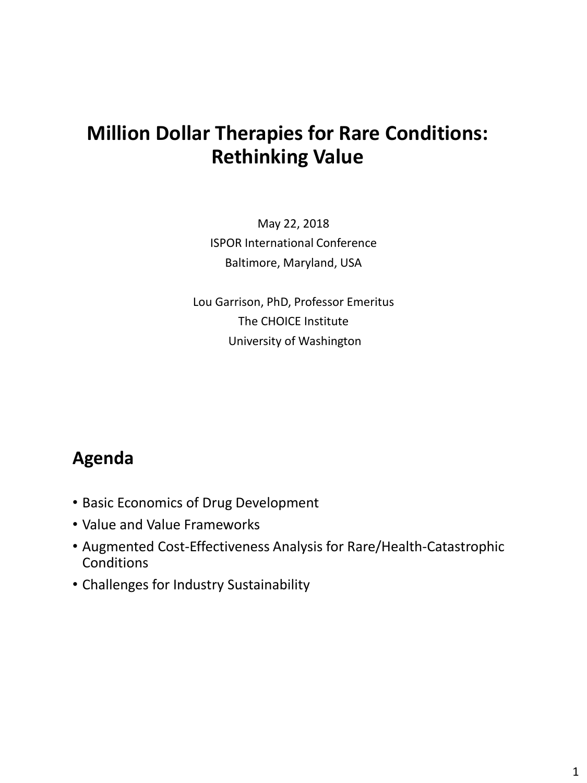# **Million Dollar Therapies for Rare Conditions: Rethinking Value**

May 22, 2018 ISPOR International Conference Baltimore, Maryland, USA

Lou Garrison, PhD, Professor Emeritus The CHOICE Institute University of Washington

### **Agenda**

- Basic Economics of Drug Development
- Value and Value Frameworks
- Augmented Cost-Effectiveness Analysis for Rare/Health-Catastrophic **Conditions**
- Challenges for Industry Sustainability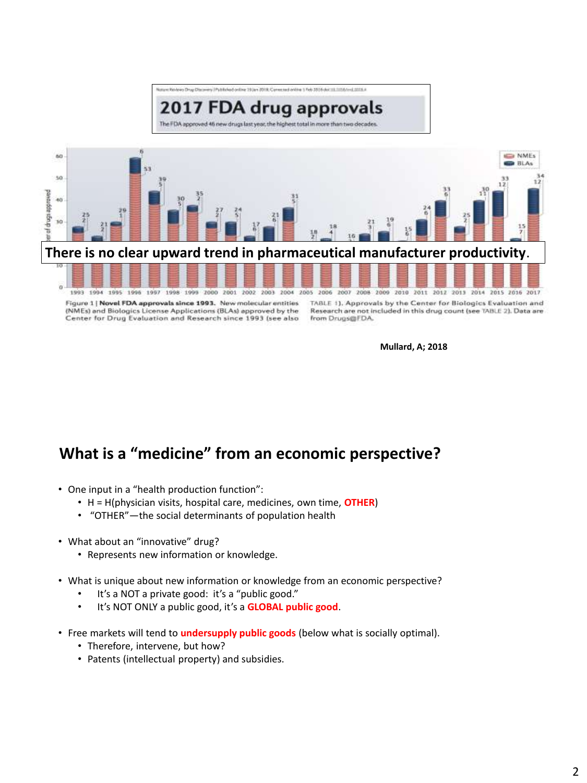

Figure 1 | Novel FDA approvals since 1993. New molecular entities (NMEs) and Biologics License Applications (BLAs) approved by the Center for Drug Evaluation and Research since 1993 (see also TABLE 1). Approvals by the Center for Biologics Evaluation and Research are not included in this drug count (see TABLE 2). Data are from Drugs@FDA.

**Mullard, A; 2018** 

### **What is a "medicine" from an economic perspective?**

- One input in a "health production function":
	- H = H(physician visits, hospital care, medicines, own time, **OTHER**)
	- "OTHER"—the social determinants of population health
- What about an "innovative" drug?
	- Represents new information or knowledge.
- What is unique about new information or knowledge from an economic perspective?
	- It's a NOT a private good: it's a "public good."
	- It's NOT ONLY a public good, it's a **GLOBAL public good**.
- Free markets will tend to **undersupply public goods** (below what is socially optimal).
	- Therefore, intervene, but how?
	- Patents (intellectual property) and subsidies.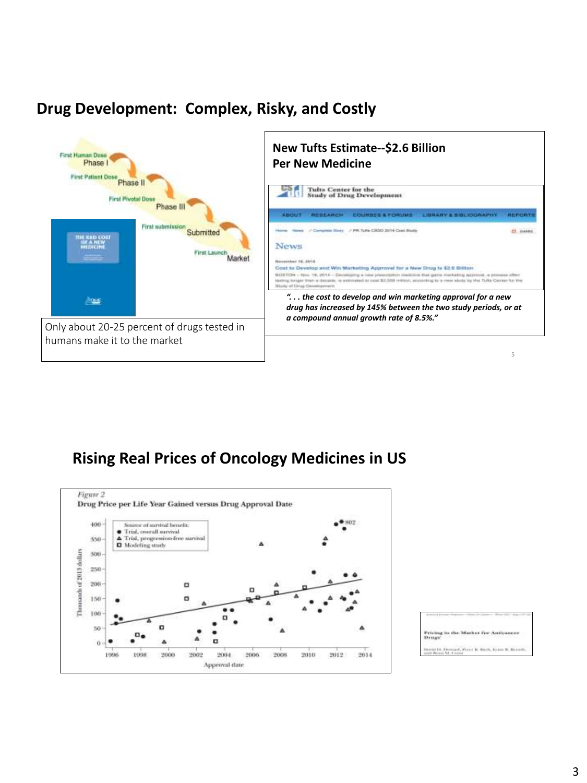### **Drug Development: Complex, Risky, and Costly**



#### **Rising Real Prices of Oncology Medicines in US**



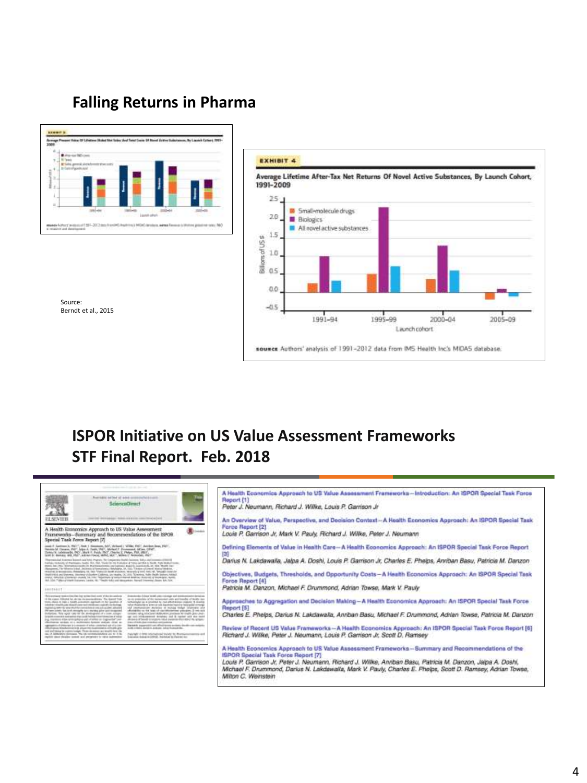#### **Falling Returns in Pharma**







### **ISPOR Initiative on US Value Assessment Frameworks STF Final Report. Feb. 2018**

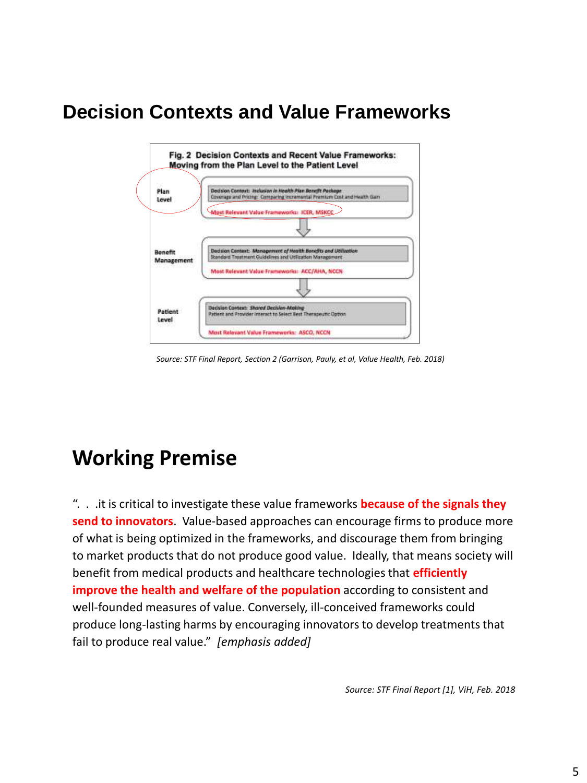# **Decision Contexts and Value Frameworks**



*Source: STF Final Report, Section 2 (Garrison, Pauly, et al, Value Health, Feb. 2018)*

# **Working Premise**

". . .it is critical to investigate these value frameworks **because of the signals they send to innovators**. Value-based approaches can encourage firms to produce more of what is being optimized in the frameworks, and discourage them from bringing to market products that do not produce good value. Ideally, that means society will benefit from medical products and healthcare technologies that **efficiently improve the health and welfare of the population** according to consistent and well-founded measures of value. Conversely, ill-conceived frameworks could produce long-lasting harms by encouraging innovators to develop treatments that fail to produce real value." *[emphasis added]*

*Source: STF Final Report [1], ViH, Feb. 2018*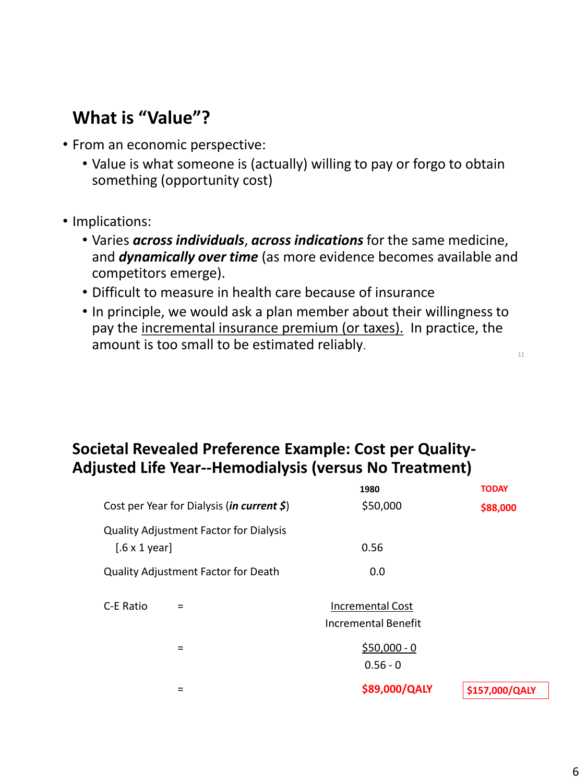# **What is "Value"?**

- From an economic perspective:
	- Value is what someone is (actually) willing to pay or forgo to obtain something (opportunity cost)
- Implications:
	- Varies *across individuals*, *across indications* for the same medicine, and *dynamically over time* (as more evidence becomes available and competitors emerge).
	- Difficult to measure in health care because of insurance
	- In principle, we would ask a plan member about their willingness to pay the incremental insurance premium (or taxes). In practice, the amount is too small to be estimated reliably.

#### **Societal Revealed Preference Example: Cost per Quality-Adjusted Life Year--Hemodialysis (versus No Treatment)**

|                                                                               | 1980                                           | <b>TODAY</b>   |
|-------------------------------------------------------------------------------|------------------------------------------------|----------------|
| Cost per Year for Dialysis ( <i>in current</i> $\zeta$ )                      | \$50,000                                       | \$88,000       |
| <b>Quality Adjustment Factor for Dialysis</b><br>$[.6 \times 1 \text{ year}]$ | 0.56                                           |                |
| <b>Quality Adjustment Factor for Death</b>                                    | 0.0                                            |                |
| C-E Ratio                                                                     | Incremental Cost<br><b>Incremental Benefit</b> |                |
| $=$                                                                           | $$50,000 - 0$<br>$0.56 - 0$                    |                |
|                                                                               | \$89,000/QALY                                  | \$157,000/QALY |

11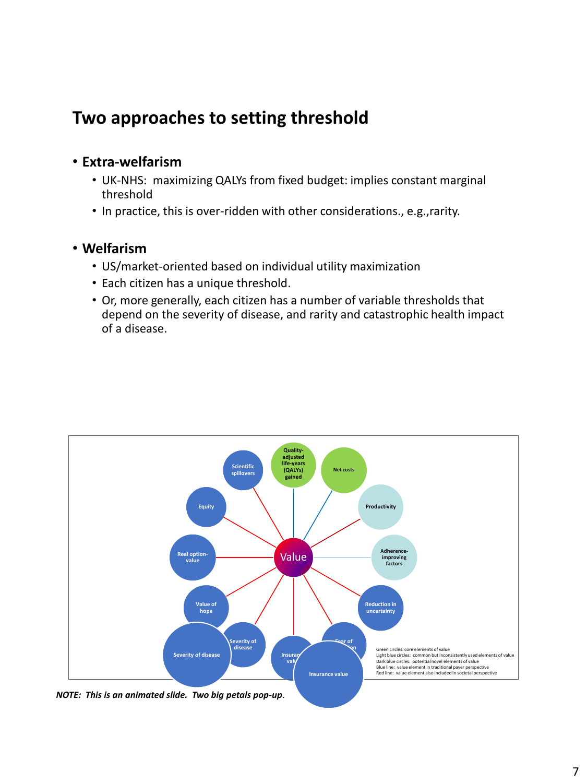### **Two approaches to setting threshold**

#### • **Extra-welfarism**

- UK-NHS: maximizing QALYs from fixed budget: implies constant marginal threshold
- In practice, this is over-ridden with other considerations., e.g.,rarity.

#### • **Welfarism**

- US/market-oriented based on individual utility maximization
- Each citizen has a unique threshold.
- Or, more generally, each citizen has a number of variable thresholds that depend on the severity of disease, and rarity and catastrophic health impact of a disease.



*NOTE: This is an animated slide. Two big petals pop-up*.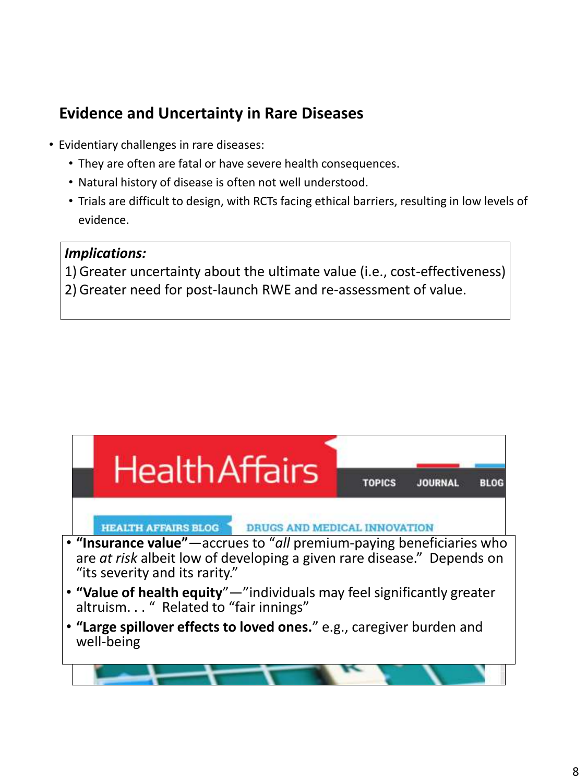### **Evidence and Uncertainty in Rare Diseases**

- Evidentiary challenges in rare diseases:
	- They are often are fatal or have severe health consequences.
	- Natural history of disease is often not well understood.
	- Trials are difficult to design, with RCTs facing ethical barriers, resulting in low levels of evidence.

#### *Implications:*

1) Greater uncertainty about the ultimate value (i.e., cost-effectiveness) 2) Greater need for post-launch RWE and re-assessment of value.

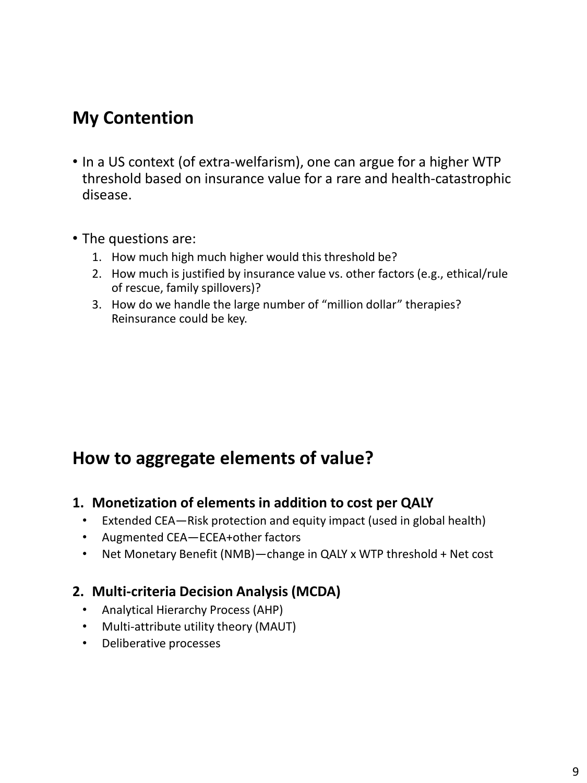## **My Contention**

- In a US context (of extra-welfarism), one can argue for a higher WTP threshold based on insurance value for a rare and health-catastrophic disease.
- The questions are:
	- 1. How much high much higher would this threshold be?
	- 2. How much is justified by insurance value vs. other factors (e.g., ethical/rule of rescue, family spillovers)?
	- 3. How do we handle the large number of "million dollar" therapies? Reinsurance could be key.

### **How to aggregate elements of value?**

#### **1. Monetization of elements in addition to cost per QALY**

- Extended CEA—Risk protection and equity impact (used in global health)
- Augmented CEA—ECEA+other factors
- Net Monetary Benefit (NMB)—change in QALY x WTP threshold + Net cost

#### **2. Multi-criteria Decision Analysis (MCDA)**

- Analytical Hierarchy Process (AHP)
- Multi-attribute utility theory (MAUT)
- Deliberative processes